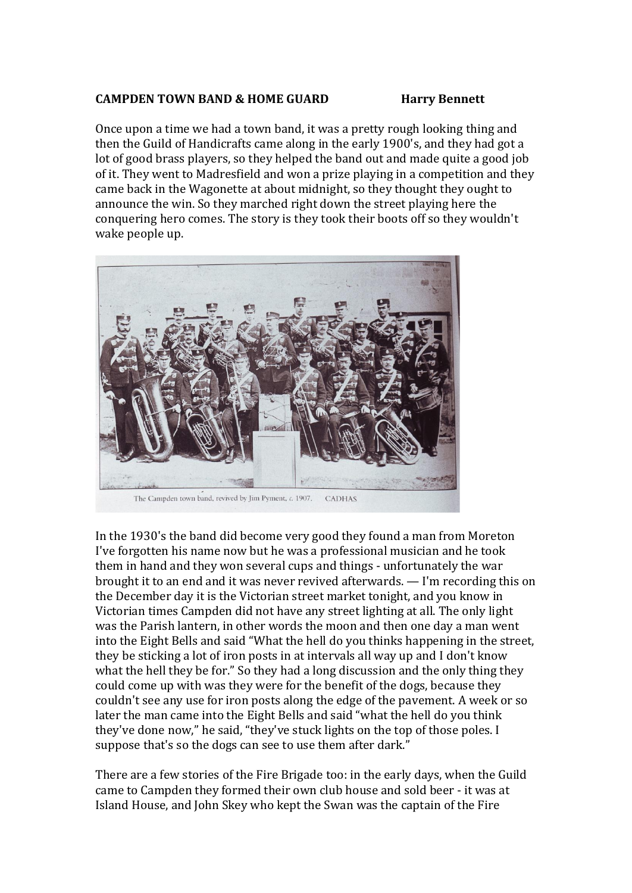## **CAMPDEN TOWN BAND & HOME GUARD Harry Bennett**

Once upon a time we had a town band, it was a pretty rough looking thing and then the Guild of Handicrafts came along in the early 1900's, and they had got a lot of good brass players, so they helped the band out and made quite a good job of it. They went to Madresfield and won a prize playing in a competition and they came back in the Wagonette at about midnight, so they thought they ought to announce the win. So they marched right down the street playing here the conquering hero comes. The story is they took their boots off so they wouldn't wake people up.



In the 1930's the band did become very good they found a man from Moreton I've forgotten his name now but he was a professional musician and he took them in hand and they won several cups and things - unfortunately the war brought it to an end and it was never revived afterwards. — I'm recording this on the December day it is the Victorian street market tonight, and you know in Victorian times Campden did not have any street lighting at all. The only light was the Parish lantern, in other words the moon and then one day a man went into the Eight Bells and said "What the hell do you thinks happening in the street, they be sticking a lot of iron posts in at intervals all way up and I don't know what the hell they be for." So they had a long discussion and the only thing they could come up with was they were for the benefit of the dogs, because they couldn't see any use for iron posts along the edge of the pavement. A week or so later the man came into the Eight Bells and said "what the hell do you think they've done now," he said, "they've stuck lights on the top of those poles. I suppose that's so the dogs can see to use them after dark."

There are a few stories of the Fire Brigade too: in the early days, when the Guild came to Campden they formed their own club house and sold beer - it was at Island House, and John Skey who kept the Swan was the captain of the Fire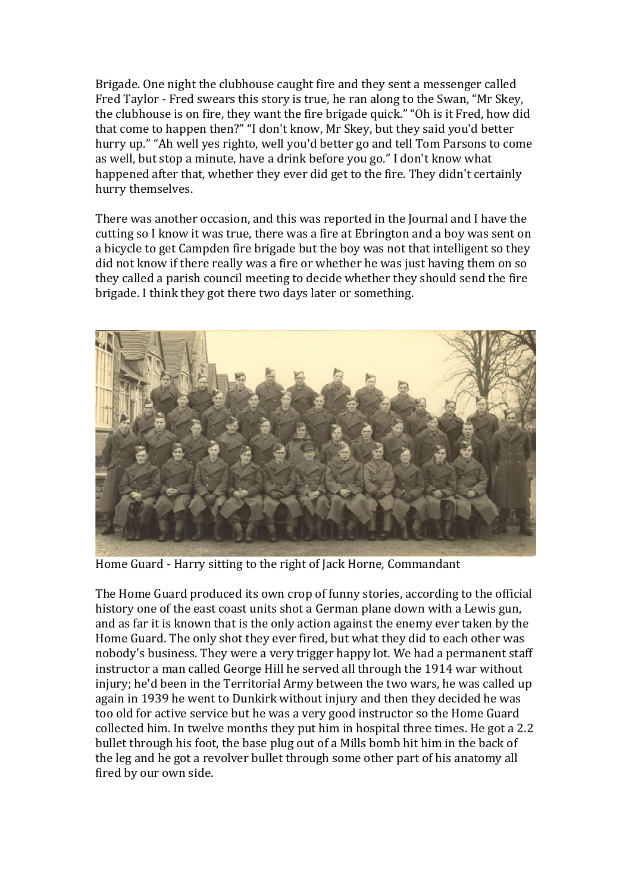Brigade. One night the clubhouse caught fire and they sent a messenger called Fred Taylor - Fred swears this story is true, he ran along to the Swan, "Mr Skey, the clubhouse is on fire, they want the fire brigade quick." "Oh is it Fred, how did that come to happen then?" "I don't know, Mr Skey, but they said you'd better hurry up." "Ah well yes righto, well you'd better go and tell Tom Parsons to come as well, but stop a minute, have a drink before you go." I don't know what happened after that, whether they ever did get to the fire. They didn't certainly hurry themselves.

There was another occasion, and this was reported in the Journal and I have the cutting so I know it was true, there was a fire at Ebrington and a boy was sent on a bicycle to get Campden fire brigade but the boy was not that intelligent so they did not know if there really was a fire or whether he was just having them on so they called a parish council meeting to decide whether they should send the fire brigade. I think they got there two days later or something.



Home Guard - Harry sitting to the right of Jack Horne, Commandant

The Home Guard produced its own crop of funny stories, according to the official history one of the east coast units shot a German plane down with a Lewis gun, and as far it is known that is the only action against the enemy ever taken by the Home Guard. The only shot they ever fired, but what they did to each other was nobody's business. They were a very trigger happy lot. We had a permanent staff instructor a man called George Hill he served all through the 1914 war without injury; he'd been in the Territorial Army between the two wars, he was called up again in 1939 he went to Dunkirk without injury and then they decided he was too old for active service but he was a very good instructor so the Home Guard collected him. In twelve months they put him in hospital three times. He got a 2.2 bullet through his foot, the base plug out of a Mills bomb hit him in the back of the leg and he got a revolver bullet through some other part of his anatomy all fired by our own side.